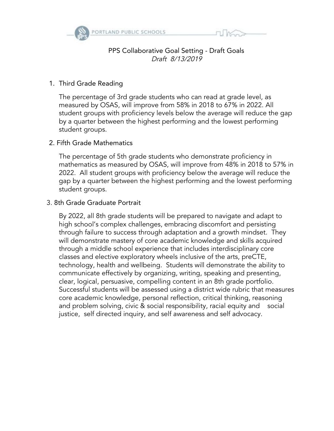

## PPS Collaborative Goal Setting - Draft Goals Draft 8/13/2019

#### 1. Third Grade Reading

The percentage of 3rd grade students who can read at grade level, as measured by OSAS, will improve from 58% in 2018 to 67% in 2022. All student groups with proficiency levels below the average will reduce the gap by a quarter between the highest performing and the lowest performing student groups.

#### 2. Fifth Grade Mathematics

The percentage of 5th grade students who demonstrate proficiency in mathematics as measured by OSAS, will improve from 48% in 2018 to 57% in 2022. All student groups with proficiency below the average will reduce the gap by a quarter between the highest performing and the lowest performing student groups.

#### 3. 8th Grade Graduate Portrait

By 2022, all 8th grade students will be prepared to navigate and adapt to high school's complex challenges, embracing discomfort and persisting through failure to success through adaptation and a growth mindset. They will demonstrate mastery of core academic knowledge and skills acquired through a middle school experience that includes interdisciplinary core classes and elective exploratory wheels inclusive of the arts, preCTE, technology, health and wellbeing. Students will demonstrate the ability to communicate effectively by organizing, writing, speaking and presenting, clear, logical, persuasive, compelling content in an 8th grade portfolio. Successful students will be assessed using a district wide rubric that measures core academic knowledge, personal reflection, critical thinking, reasoning and problem solving, civic & social responsibility, racial equity and social justice, self directed inquiry, and self awareness and self advocacy.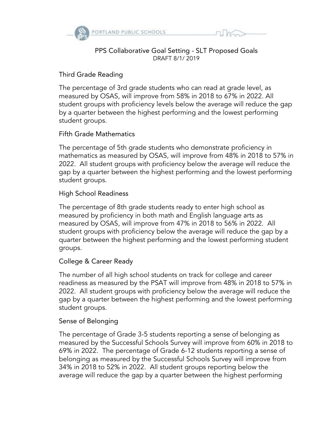

#### PPS Collaborative Goal Setting - SLT Proposed Goals DRAFT 8/1/ 2019

## Third Grade Reading

The percentage of 3rd grade students who can read at grade level, as measured by OSAS, will improve from 58% in 2018 to 67% in 2022. All student groups with proficiency levels below the average will reduce the gap by a quarter between the highest performing and the lowest performing student groups.

# Fifth Grade Mathematics

The percentage of 5th grade students who demonstrate proficiency in mathematics as measured by OSAS, will improve from 48% in 2018 to 57% in 2022. All student groups with proficiency below the average will reduce the gap by a quarter between the highest performing and the lowest performing student groups.

## High School Readiness

The percentage of 8th grade students ready to enter high school as measured by proficiency in both math and English language arts as measured by OSAS, will improve from 47% in 2018 to 56% in 2022. All student groups with proficiency below the average will reduce the gap by a quarter between the highest performing and the lowest performing student groups.

## College & Career Ready

The number of all high school students on track for college and career readiness as measured by the PSAT will improve from 48% in 2018 to 57% in 2022. All student groups with proficiency below the average will reduce the gap by a quarter between the highest performing and the lowest performing student groups.

## Sense of Belonging

The percentage of Grade 3-5 students reporting a sense of belonging as measured by the Successful Schools Survey will improve from 60% in 2018 to 69% in 2022. The percentage of Grade 6-12 students reporting a sense of belonging as measured by the Successful Schools Survey will improve from 34% in 2018 to 52% in 2022. All student groups reporting below the average will reduce the gap by a quarter between the highest performing